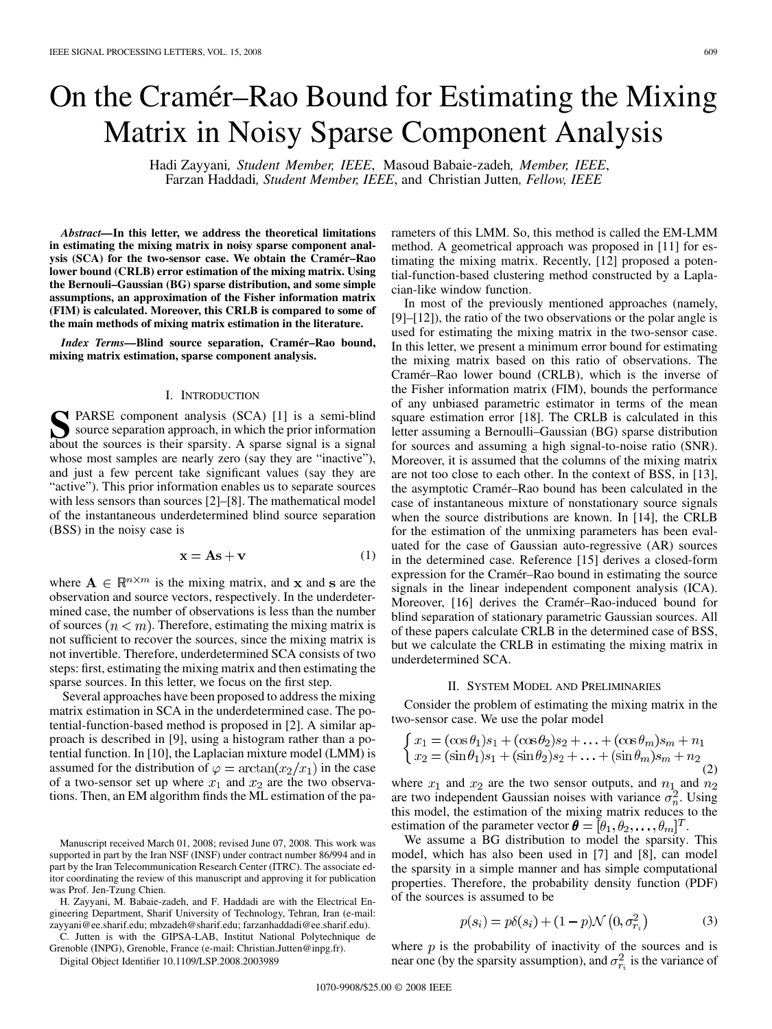# On the Cramér–Rao Bound for Estimating the Mixing Matrix in Noisy Sparse Component Analysis

Hadi Zayyani*, Student Member, IEEE*, Masoud Babaie-zadeh*, Member, IEEE*, Farzan Haddadi*, Student Member, IEEE*, and Christian Jutten*, Fellow, IEEE*

*Abstract—***In this letter, we address the theoretical limitations in estimating the mixing matrix in noisy sparse component analysis (SCA) for the two-sensor case. We obtain the Cramér–Rao lower bound (CRLB) error estimation of the mixing matrix. Using the Bernouli–Gaussian (BG) sparse distribution, and some simple assumptions, an approximation of the Fisher information matrix (FIM) is calculated. Moreover, this CRLB is compared to some of the main methods of mixing matrix estimation in the literature.**

*Index Terms—***Blind source separation, Cramér–Rao bound, mixing matrix estimation, sparse component analysis.**

## I. INTRODUCTION

**SPARSE component analysis (SCA) [1] is a semi-blind** source separation approach, in which the prior information about the sources is their sparsity. A sparse signal is a signal about the sources is their sparsity. A sparse signal is a signal whose most samples are nearly zero (say they are "inactive"), and just a few percent take significant values (say they are "active"). This prior information enables us to separate sources with less sensors than sources [2]–[8]. The mathematical model of the instantaneous underdetermined blind source separation (BSS) in the noisy case is

$$
\mathbf{x} = \mathbf{A}\mathbf{s} + \mathbf{v} \tag{1}
$$

where  $A \in \mathbb{R}^{n \times m}$  is the mixing matrix, and x and s are the observation and source vectors, respectively. In the underdetermined case, the number of observations is less than the number of sources  $(n < m)$ . Therefore, estimating the mixing matrix is not sufficient to recover the sources, since the mixing matrix is not invertible. Therefore, underdetermined SCA consists of two steps: first, estimating the mixing matrix and then estimating the sparse sources. In this letter, we focus on the first step.

Several approaches have been proposed to address the mixing matrix estimation in SCA in the underdetermined case. The potential-function-based method is proposed in [2]. A similar approach is described in [9], using a histogram rather than a potential function. In [10], the Laplacian mixture model (LMM) is assumed for the distribution of  $\varphi = \arctan(x_2/x_1)$  in the case of a two-sensor set up where  $x_1$  and  $x_2$  are the two observations. Then, an EM algorithm finds the ML estimation of the pa-

C. Jutten is with the GIPSA-LAB, Institut National Polytechnique de Grenoble (INPG), Grenoble, France (e-mail: Christian.Jutten@inpg.fr).

Digital Object Identifier 10.1109/LSP.2008.2003989

rameters of this LMM. So, this method is called the EM-LMM method. A geometrical approach was proposed in [11] for estimating the mixing matrix. Recently, [12] proposed a potential-function-based clustering method constructed by a Laplacian-like window function.

In most of the previously mentioned approaches (namely, [9]–[12]), the ratio of the two observations or the polar angle is used for estimating the mixing matrix in the two-sensor case. In this letter, we present a minimum error bound for estimating the mixing matrix based on this ratio of observations. The Cramér–Rao lower bound (CRLB), which is the inverse of the Fisher information matrix (FIM), bounds the performance of any unbiased parametric estimator in terms of the mean square estimation error [18]. The CRLB is calculated in this letter assuming a Bernoulli–Gaussian (BG) sparse distribution for sources and assuming a high signal-to-noise ratio (SNR). Moreover, it is assumed that the columns of the mixing matrix are not too close to each other. In the context of BSS, in [13], the asymptotic Cramér–Rao bound has been calculated in the case of instantaneous mixture of nonstationary source signals when the source distributions are known. In [14], the CRLB for the estimation of the unmixing parameters has been evaluated for the case of Gaussian auto-regressive (AR) sources in the determined case. Reference [15] derives a closed-form expression for the Cramér–Rao bound in estimating the source signals in the linear independent component analysis (ICA). Moreover, [16] derives the Cramér–Rao-induced bound for blind separation of stationary parametric Gaussian sources. All of these papers calculate CRLB in the determined case of BSS, but we calculate the CRLB in estimating the mixing matrix in underdetermined SCA.

### II. SYSTEM MODEL AND PRELIMINARIES

Consider the problem of estimating the mixing matrix in the two-sensor case. We use the polar model

$$
\begin{cases}\nx_1 = (\cos \theta_1)s_1 + (\cos \theta_2)s_2 + \dots + (\cos \theta_m)s_m + n_1 \\
x_2 = (\sin \theta_1)s_1 + (\sin \theta_2)s_2 + \dots + (\sin \theta_m)s_m + n_2\n\end{cases} (2)
$$

where  $x_1$  and  $x_2$  are the two sensor outputs, and  $n_1$  and  $n_2$ are two independent Gaussian noises with variance  $\sigma_n^2$ . Using this model, the estimation of the mixing matrix reduces to the estimation of the parameter vector  $\boldsymbol{\theta} = [\theta_1, \theta_2, \dots, \theta_m]^T$ .

We assume a BG distribution to model the sparsity. This model, which has also been used in [7] and [8], can model the sparsity in a simple manner and has simple computational properties. Therefore, the probability density function (PDF) of the sources is assumed to be

$$
p(s_i) = p\delta(s_i) + (1 - p)\mathcal{N}\left(0, \sigma_{r_i}^2\right)
$$
 (3)

where  $p$  is the probability of inactivity of the sources and is near one (by the sparsity assumption), and  $\sigma_{r_i}^2$  is the variance of

Manuscript received March 01, 2008; revised June 07, 2008. This work was supported in part by the Iran NSF (INSF) under contract number 86/994 and in part by the Iran Telecommunication Research Center (ITRC). The associate editor coordinating the review of this manuscript and approving it for publication was Prof. Jen-Tzung Chien.

H. Zayyani, M. Babaie-zadeh, and F. Haddadi are with the Electrical Engineering Department, Sharif University of Technology, Tehran, Iran (e-mail: zayyani@ee.sharif.edu; mbzadeh@sharif.edu; farzanhaddadi@ee.sharif.edu).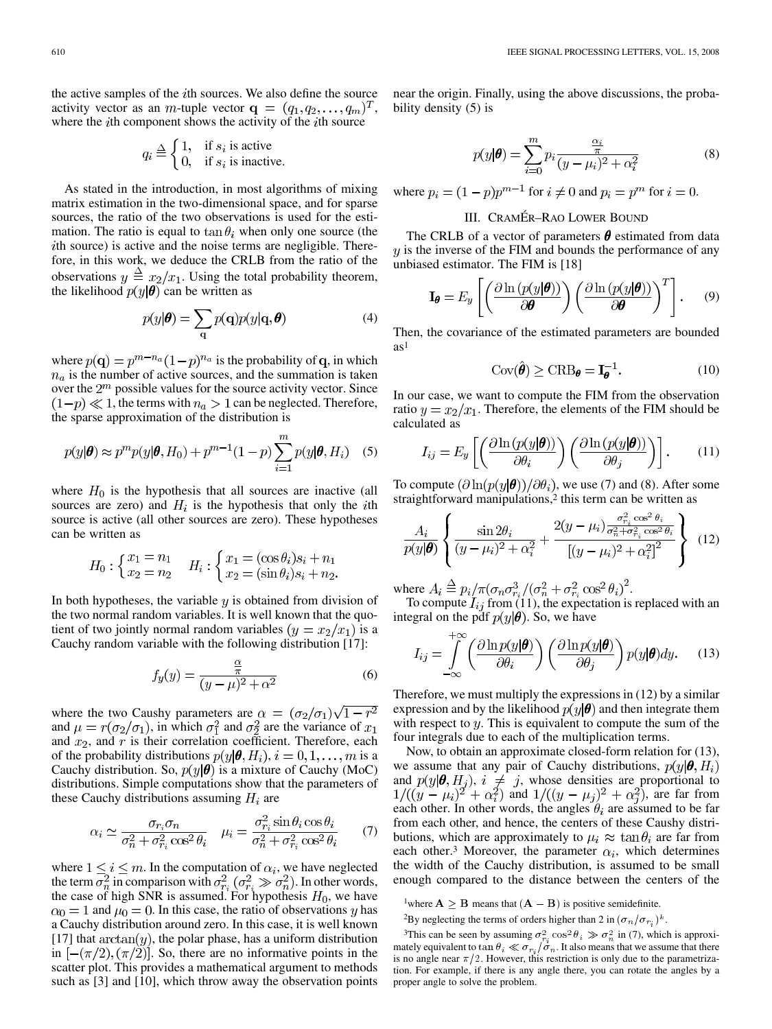the active samples of the  $i$ th sources. We also define the source activity vector as an *m*-tuple vector  $\mathbf{q} = (q_1, q_2, \dots, q_m)^T$ , where the  $i$ th component shows the activity of the  $i$ th source

$$
q_i \stackrel{\Delta}{=} \begin{cases} 1, & \text{if } s_i \text{ is active} \\ 0, & \text{if } s_i \text{ is inactive.} \end{cases}
$$

As stated in the introduction, in most algorithms of mixing matrix estimation in the two-dimensional space, and for sparse sources, the ratio of the two observations is used for the estimation. The ratio is equal to  $\tan \theta_i$  when only one source (the ith source) is active and the noise terms are negligible. Therefore, in this work, we deduce the CRLB from the ratio of the observations  $y \triangleq x_2/x_1$ . Using the total probability theorem, the likelihood  $p(y|\theta)$  can be written as

$$
p(y|\boldsymbol{\theta}) = \sum_{\mathbf{q}} p(\mathbf{q}) p(y|\mathbf{q}, \boldsymbol{\theta})
$$
 (4)

where  $p(\mathbf{q}) = p^{m-n_a}(1-p)^{n_a}$  is the probability of q, in which  $n_a$  is the number of active sources, and the summation is taken over the  $2<sup>m</sup>$  possible values for the source activity vector. Since  $(1-p) \ll 1$ , the terms with  $n_a > 1$  can be neglected. Therefore, the sparse approximation of the distribution is

$$
p(y|\boldsymbol{\theta}) \approx p^m p(y|\boldsymbol{\theta}, H_0) + p^{m-1}(1-p) \sum_{i=1}^m p(y|\boldsymbol{\theta}, H_i)
$$
 (5)

where  $H_0$  is the hypothesis that all sources are inactive (all sources are zero) and  $H_i$  is the hypothesis that only the *i*th source is active (all other sources are zero). These hypotheses can be written as

$$
H_0: \begin{cases} x_1 = n_1 \\ x_2 = n_2 \end{cases} \quad H_i: \begin{cases} x_1 = (\cos \theta_i) s_i + n_1 \\ x_2 = (\sin \theta_i) s_i + n_2. \end{cases}
$$

In both hypotheses, the variable  $y$  is obtained from division of the two normal random variables. It is well known that the quotient of two jointly normal random variables  $(y = x_2/x_1)$  is a Cauchy random variable with the following distribution [17]:

$$
f_y(y) = \frac{\frac{\alpha}{\pi}}{(y - \mu)^2 + \alpha^2}
$$
 (6)

where the two Caushy parameters are  $\alpha = (\sigma_2/\sigma_1)\sqrt{1-r^2}$ and  $\mu = r(\sigma_2/\sigma_1)$ , in which  $\sigma_1^2$  and  $\sigma_2^2$  are the variance of  $x_1$ and  $x_2$ , and  $r$  is their correlation coefficient. Therefore, each of the probability distributions  $p(y|\theta, H_i)$ ,  $i = 0, 1, ..., m$  is a Cauchy distribution. So,  $p(y|\theta)$  is a mixture of Cauchy (MoC) distributions. Simple computations show that the parameters of these Cauchy distributions assuming  $H_i$  are

$$
\alpha_i \simeq \frac{\sigma_{r_i} \sigma_n}{\sigma_n^2 + \sigma_{r_i}^2 \cos^2 \theta_i} \quad \mu_i = \frac{\sigma_{r_i}^2 \sin \theta_i \cos \theta_i}{\sigma_n^2 + \sigma_{r_i}^2 \cos^2 \theta_i} \tag{7}
$$

where  $1 \le i \le m$ . In the computation of  $\alpha_i$ , we have neglected the term  $\sigma_n^2$  in comparison with  $\sigma_{r_i}^2$  ( $\sigma_{r_i}^2 \gg \sigma_n^2$ ). In other words, the case of high SNR is assumed. For hypothesis  $H_0$ , we have  $\alpha_0 = 1$  and  $\mu_0 = 0$ . In this case, the ratio of observations y has a Cauchy distribution around zero. In this case, it is well known [17] that  $arctan(y)$ , the polar phase, has a uniform distribution in  $[-(\pi/2), (\pi/2)]$ . So, there are no informative points in the scatter plot. This provides a mathematical argument to methods such as [3] and [10], which throw away the observation points

near the origin. Finally, using the above discussions, the probability density (5) is

$$
p(y|\pmb{\theta}) = \sum_{i=0}^{m} p_i \frac{\frac{\alpha_i}{\pi}}{(y - \mu_i)^2 + \alpha_i^2}
$$
 (8)

where  $p_i = (1 - p)p^{m-1}$  for  $i \neq 0$  and  $p_i = p^m$  for  $i = 0$ .

## III. CRAMÉR–RAO LOWER BOUND

The CRLB of a vector of parameters  $\theta$  estimated from data  $y$  is the inverse of the FIM and bounds the performance of any unbiased estimator. The FIM is [18]

$$
\mathbf{I}_{\boldsymbol{\theta}} = E_y \left[ \left( \frac{\partial \ln \left( p(y|\boldsymbol{\theta}) \right)}{\partial \boldsymbol{\theta}} \right) \left( \frac{\partial \ln \left( p(y|\boldsymbol{\theta}) \right)}{\partial \boldsymbol{\theta}} \right)^T \right].
$$
 (9)

Then, the covariance of the estimated parameters are bounded  $as<sup>1</sup>$ 

$$
Cov(\hat{\boldsymbol{\theta}}) \ge CRB_{\boldsymbol{\theta}} = \mathbf{I}_{\boldsymbol{\theta}}^{-1}.
$$
 (10)

In our case, we want to compute the FIM from the observation ratio  $y = x_2/x_1$ . Therefore, the elements of the FIM should be calculated as

$$
I_{ij} = E_y \left[ \left( \frac{\partial \ln \left( p(y|\pmb{\theta}) \right)}{\partial \theta_i} \right) \left( \frac{\partial \ln \left( p(y|\pmb{\theta}) \right)}{\partial \theta_j} \right) \right].
$$
 (11)

To compute  $(\partial \ln(p(y|\theta))/\partial \theta_i)$ , we use (7) and (8). After some straightforward manipulations,<sup>2</sup> this term can be written as

$$
\frac{A_i}{p(y|\theta)} \left\{ \frac{\sin 2\theta_i}{(y-\mu_i)^2 + \alpha_i^2} + \frac{2(y-\mu_i)\frac{\sigma_{r_i}^2 \cos^2 \theta_i}{\sigma_n^2 + \sigma_{r_i}^2 \cos^2 \theta_i}}{[(y-\mu_i)^2 + \alpha_i^2]^2} \right\}
$$
(12)

where  $A_i \triangleq p_i / \pi (\sigma_n \sigma_{r_i}^3 / (\sigma_n^2 + \sigma_{r_i}^2 \cos^2 \theta_i)^2)$ .

 $\mathbf{1}$ 

To compute  $I_{ij}$  from (11), the expectation is replaced with an integral on the pdf  $p(y|\theta)$ . So, we have

$$
I_{ij} = \int_{-\infty}^{+\infty} \left( \frac{\partial \ln p(y|\boldsymbol{\theta})}{\partial \theta_i} \right) \left( \frac{\partial \ln p(y|\boldsymbol{\theta})}{\partial \theta_j} \right) p(y|\boldsymbol{\theta}) dy. \tag{13}
$$

Therefore, we must multiply the expressions in (12) by a similar expression and by the likelihood  $p(y|\theta)$  and then integrate them with respect to  $y$ . This is equivalent to compute the sum of the four integrals due to each of the multiplication terms.

Now, to obtain an approximate closed-form relation for (13), we assume that any pair of Cauchy distributions,  $p(y|\theta, H_i)$ and  $p(y|\theta, H_i)$ ,  $i \neq j$ , whose densities are proportional to and  $1/((y - \mu_i)^2 + \alpha_i^2)$ , are far from each other. In other words, the angles  $\theta_i$  are assumed to be far from each other, and hence, the centers of these Caushy distributions, which are approximately to  $\mu_i \approx \tan \theta_i$  are far from each other.<sup>3</sup> Moreover, the parameter  $\alpha_i$ , which determines the width of the Cauchy distribution, is assumed to be small enough compared to the distance between the centers of the

<sup>2</sup>By neglecting the terms of orders higher than 2 in  $(\sigma_n/\sigma_{r_i})^k$ .

<sup>&</sup>lt;sup>1</sup>where  $A \geq B$  means that  $(A - B)$  is positive semidefinite.

<sup>&</sup>lt;sup>3</sup>This can be seen by assuming  $\sigma_{r_i}^2 \cos^2 \theta_i \gg \sigma_n^2$  in (7), which is approximately equivalent to  $\tan \theta_i \ll \sigma_{r_i}/\sigma_n$ . It also means that we assume that there is no angle near  $\pi/2$ . However, this restriction is only due to the parametrization. For example, if there is any angle there, you can rotate the angles by a proper angle to solve the problem.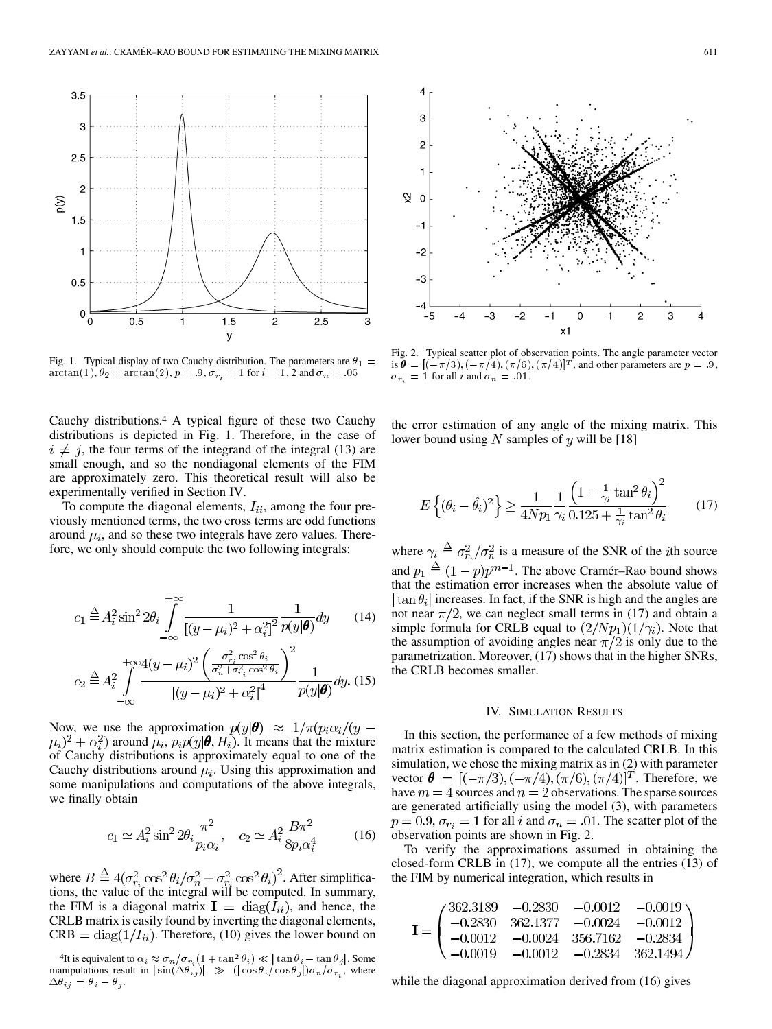

Fig. 1. Typical display of two Cauchy distribution. The parameters are  $\theta_1 =$  $\arctan(1), \theta_2 = \arctan(2), p = .9, \sigma_{r_i} = 1$  for  $i = 1, 2$  and  $\sigma_n = .05$ 

Cauchy distributions.4 A typical figure of these two Cauchy distributions is depicted in Fig. 1. Therefore, in the case of  $i \neq j$ , the four terms of the integrand of the integral (13) are small enough, and so the nondiagonal elements of the FIM are approximately zero. This theoretical result will also be experimentally verified in Section IV.

To compute the diagonal elements,  $I_{ii}$ , among the four previously mentioned terms, the two cross terms are odd functions around  $\mu_i$ , and so these two integrals have zero values. Therefore, we only should compute the two following integrals:

$$
c_1 \stackrel{\Delta}{=} A_i^2 \sin^2 2\theta_i \int_{-\infty}^{+\infty} \frac{1}{[(y-\mu_i)^2 + \alpha_i^2]^2} \frac{1}{p(y|\theta)} dy \qquad (14)
$$

$$
c_2 \stackrel{\Delta}{=} A_i^2 \int_{-\infty}^{+\infty} \frac{4(y - \mu_i)^2 \left( \frac{\sigma_{r_i}^2 \cos^2 \theta_i}{\sigma_n^2 + \sigma_{r_i}^2 \cos^2 \theta_i} \right)^2}{\left[ (y - \mu_i)^2 + \alpha_i^2 \right]^4} \frac{1}{p(y|\theta)} dy. \tag{15}
$$

Now, we use the approximation  $p(y|\theta) \approx 1/\pi (p_i \alpha_i/(y (a_i)^2 + \alpha_i^2$  around  $\mu_i$ ,  $p_i p(y|\theta, H_i)$ . It means that the mixture of Cauchy distributions is approximately equal to one of the Cauchy distributions around  $\mu_i$ . Using this approximation and some manipulations and computations of the above integrals, we finally obtain

$$
c_1 \simeq A_i^2 \sin^2 2\theta_i \frac{\pi^2}{p_i \alpha_i}, \quad c_2 \simeq A_i^2 \frac{B \pi^2}{8 p_i \alpha_i^4} \tag{16}
$$

where  $B \stackrel{\Delta}{=} 4(\sigma_{r_i}^2 \cos^2 \theta_i/\sigma_n^2 + \sigma_{r_i}^2 \cos^2 \theta_i)^2$ . After simplifications, the value of the integral will be computed. In summary, the FIM is a diagonal matrix  $I = diag(I_{ii})$ , and hence, the CRLB matrix is easily found by inverting the diagonal elements,  $CRB = diag(1/I_{ii})$ . Therefore, (10) gives the lower bound on



Fig. 2. Typical scatter plot of observation points. The angle parameter vector is  $\theta = [(-\pi/3), (-\pi/4), (\pi/6), (\pi/4)]^T$ , and other parameters are  $p = .9$ ,  $\sigma_{r_i} = 1$  for all *i* and  $\sigma_n = .01$ .

the error estimation of any angle of the mixing matrix. This lower bound using N samples of y will be [18]

$$
E\left\{(\theta_i - \hat{\theta}_i)^2\right\} \ge \frac{1}{4Np_1} \frac{1}{\gamma_i} \frac{\left(1 + \frac{1}{\gamma_i} \tan^2 \theta_i\right)^2}{0.125 + \frac{1}{\gamma_i} \tan^2 \theta_i} \tag{17}
$$

where  $\gamma_i \triangleq \sigma_{r_i}^2 / \sigma_n^2$  is a measure of the SNR of the *i*th source and  $p_1 \triangleq (1-p)p^{m-1}$ . The above Cramér–Rao bound shows that the estimation error increases when the absolute value of  $\tan \theta_i$  increases. In fact, if the SNR is high and the angles are not near  $\pi/2$ , we can neglect small terms in (17) and obtain a simple formula for CRLB equal to  $\left(\frac{2}{Np_1}\right)\left(\frac{1}{\gamma_i}\right)$ . Note that the assumption of avoiding angles near  $\pi/2$  is only due to the parametrization. Moreover, (17) shows that in the higher SNRs, the CRLB becomes smaller.

#### IV. SIMULATION RESULTS

In this section, the performance of a few methods of mixing matrix estimation is compared to the calculated CRLB. In this simulation, we chose the mixing matrix as in (2) with parameter vector  $\boldsymbol{\theta} = [(-\pi/3), (-\pi/4), (\pi/6), (\pi/4)]^T$ . Therefore, we have  $m = 4$  sources and  $n = 2$  observations. The sparse sources are generated artificially using the model (3), with parameters  $p = 0.9$ ,  $\sigma_{r_i} = 1$  for all i and  $\sigma_n = .01$ . The scatter plot of the observation points are shown in Fig. 2.

To verify the approximations assumed in obtaining the closed-form CRLB in (17), we compute all the entries (13) of the FIM by numerical integration, which results in

$$
\mathbf{I} = \begin{pmatrix} 362.3189 & -0.2830 & -0.0012 & -0.0019 \\ -0.2830 & 362.1377 & -0.0024 & -0.0012 \\ -0.0012 & -0.0024 & 356.7162 & -0.2834 \\ -0.0019 & -0.0012 & -0.2834 & 362.1494 \end{pmatrix}
$$

while the diagonal approximation derived from  $(16)$  gives

<sup>&</sup>lt;sup>4</sup>It is equivalent to  $\alpha_i \approx \sigma_n/\sigma_{r_i} (1 + \tan^2 \theta_i) \ll |\tan \theta_i - \tan \theta_j|$ . Some manipulations result in  $|\sin(\Delta \theta_{ij})| \gg (|\cos \theta_i / \cos \theta_j|) \sigma_n / \sigma_{r_i}$ , where  $\Delta \theta_{ij} = \theta_i - \theta_j.$